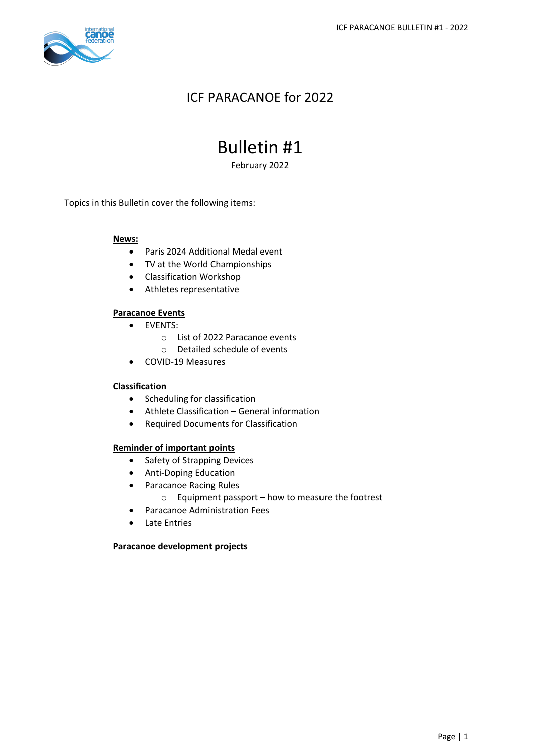

## ICF PARACANOE for 2022

# Bulletin #1

February 2022

Topics in this Bulletin cover the following items:

### **News:**

- Paris 2024 Additional Medal event
- TV at the World Championships
- Classification Workshop
- Athletes representative

### **Paracanoe Events**

- EVENTS:
	- o List of 2022 Paracanoe events
	- o Detailed schedule of events
- COVID-19 Measures

#### **Classification**

- Scheduling for classification
- Athlete Classification General information
- Required Documents for Classification

#### **Reminder of important points**

- Safety of Strapping Devices
- Anti-Doping Education
- Paracanoe Racing Rules
	- o Equipment passport how to measure the footrest
- Paracanoe Administration Fees
- Late Entries

#### **Paracanoe development projects**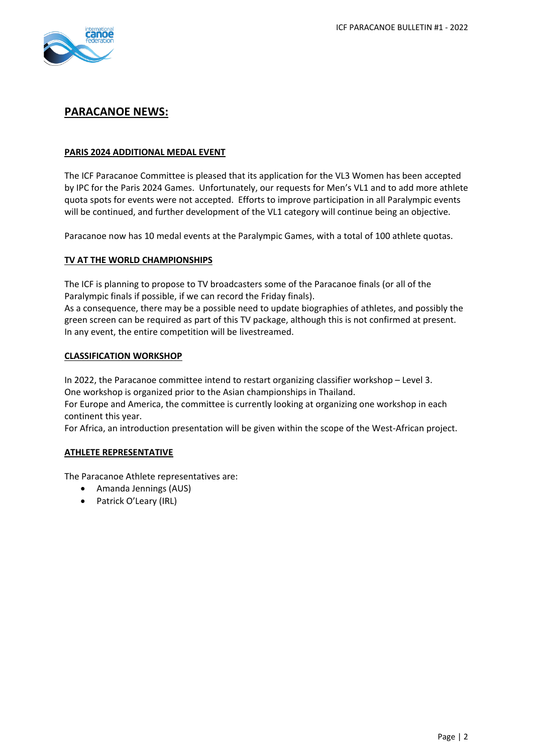

### **PARACANOE NEWS:**

### **PARIS 2024 ADDITIONAL MEDAL EVENT**

The ICF Paracanoe Committee is pleased that its application for the VL3 Women has been accepted by IPC for the Paris 2024 Games. Unfortunately, our requests for Men's VL1 and to add more athlete quota spots for events were not accepted. Efforts to improve participation in all Paralympic events will be continued, and further development of the VL1 category will continue being an objective.

Paracanoe now has 10 medal events at the Paralympic Games, with a total of 100 athlete quotas.

### **TV AT THE WORLD CHAMPIONSHIPS**

The ICF is planning to propose to TV broadcasters some of the Paracanoe finals (or all of the Paralympic finals if possible, if we can record the Friday finals).

As a consequence, there may be a possible need to update biographies of athletes, and possibly the green screen can be required as part of this TV package, although this is not confirmed at present. In any event, the entire competition will be livestreamed.

### **CLASSIFICATION WORKSHOP**

In 2022, the Paracanoe committee intend to restart organizing classifier workshop – Level 3. One workshop is organized prior to the Asian championships in Thailand.

For Europe and America, the committee is currently looking at organizing one workshop in each continent this year.

For Africa, an introduction presentation will be given within the scope of the West-African project.

### **ATHLETE REPRESENTATIVE**

The Paracanoe Athlete representatives are:

- Amanda Jennings (AUS)
- Patrick O'Leary (IRL)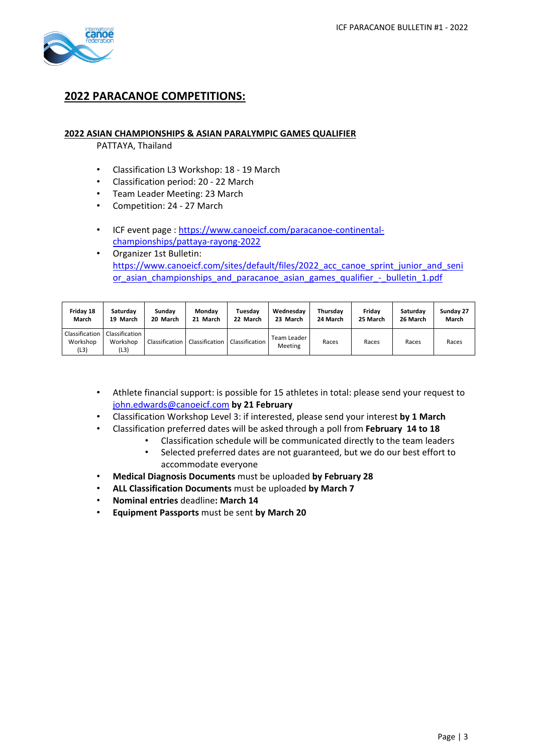

### **2022 PARACANOE COMPETITIONS:**

### **2022 ASIAN CHAMPIONSHIPS & ASIAN PARALYMPIC GAMES QUALIFIER**

PATTAYA, Thailand

- Classification L3 Workshop: 18 19 March
- Classification period: 20 22 March
- Team Leader Meeting: 23 March
- Competition: 24 27 March
- ICF event page : [https://www.canoeicf.com/paracanoe-continental](https://www.canoeicf.com/paracanoe-continental-championships/pattaya-rayong-2022)[championships/pattaya-rayong-2022](https://www.canoeicf.com/paracanoe-continental-championships/pattaya-rayong-2022)
- Organizer 1st Bulletin: [https://www.canoeicf.com/sites/default/files/2022\\_acc\\_canoe\\_sprint\\_junior\\_and\\_seni](https://www.canoeicf.com/sites/default/files/2022_acc_canoe_sprint_junior_and_senior_asian_championships_and_paracanoe_asian_games_qualifier_-_bulletin_1.pdf) or asian championships and paracanoe asian games qualifier - bulletin 1.pdf

| Friday 18                          | Saturdav                           | Sundav   | Monday                                           | Tuesdav  | Wednesdav              | Thursdav | Fridav   | Saturdav | Sunday 27 |
|------------------------------------|------------------------------------|----------|--------------------------------------------------|----------|------------------------|----------|----------|----------|-----------|
| March                              | 19 March                           | 20 March | 21 March                                         | 22 March | 23 March               | 24 March | 25 March | 26 March | March     |
| Classification<br>Workshop<br>(L3) | Classification<br>Workshop<br>(L3) |          | Classification   Classification   Classification |          | Team Leader<br>Meeting | Races    | Races    | Races    | Races     |

- Athlete financial support: is possible for 15 athletes in total: please send your request to [john.edwards@canoeicf.com](mailto:john.edwards@canoeicf.com) **by 21 February**
- Classification Workshop Level 3: if interested, please send your interest **by 1 March**
- Classification preferred dates will be asked through a poll from **February 14 to 18**
	- Classification schedule will be communicated directly to the team leaders
	- Selected preferred dates are not guaranteed, but we do our best effort to accommodate everyone
- **Medical Diagnosis Documents** must be uploaded **by February 28**
- **ALL Classification Documents** must be uploaded **by March 7**
- **Nominal entries** deadline**: March 14**
- **Equipment Passports** must be sent **by March 20**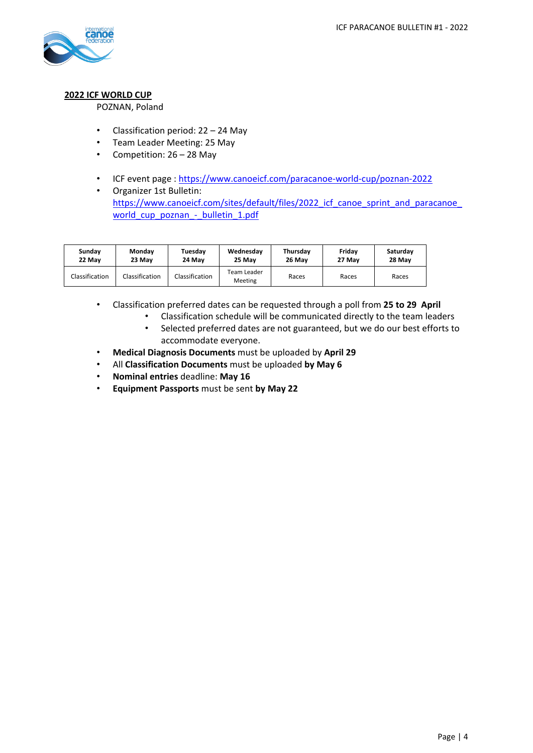

### **2022 ICF WORLD CUP**

POZNAN, Poland

- Classification period: 22 24 May
- Team Leader Meeting: 25 May
- Competition: 26 28 May
- ICF event page : <https://www.canoeicf.com/paracanoe-world-cup/poznan-2022>
- Organizer 1st Bulletin: [https://www.canoeicf.com/sites/default/files/2022\\_icf\\_canoe\\_sprint\\_and\\_paracanoe\\_](https://www.canoeicf.com/sites/default/files/2022_icf_canoe_sprint_and_paracanoe_world_cup_poznan_-_bulletin_1.pdf) [world\\_cup\\_poznan\\_-\\_bulletin\\_1.pdf](https://www.canoeicf.com/sites/default/files/2022_icf_canoe_sprint_and_paracanoe_world_cup_poznan_-_bulletin_1.pdf)

| Sundav         | Monday         | Tuesdav        | Wednesday              | Thursday | Fridav | Saturday |
|----------------|----------------|----------------|------------------------|----------|--------|----------|
| 22 May         | 23 May         | 24 May         | 25 May                 | 26 May   | 27 May | 28 May   |
| Classification | Classification | Classification | Team Leader<br>Meeting | Races    | Races  | Races    |

- Classification preferred dates can be requested through a poll from **25 to 29 April**
	- Classification schedule will be communicated directly to the team leaders
	- Selected preferred dates are not guaranteed, but we do our best efforts to accommodate everyone.
- **Medical Diagnosis Documents** must be uploaded by **April 29**
- All **Classification Documents** must be uploaded **by May 6**
- **Nominal entries** deadline: **May 16**
- **Equipment Passports** must be sent **by May 22**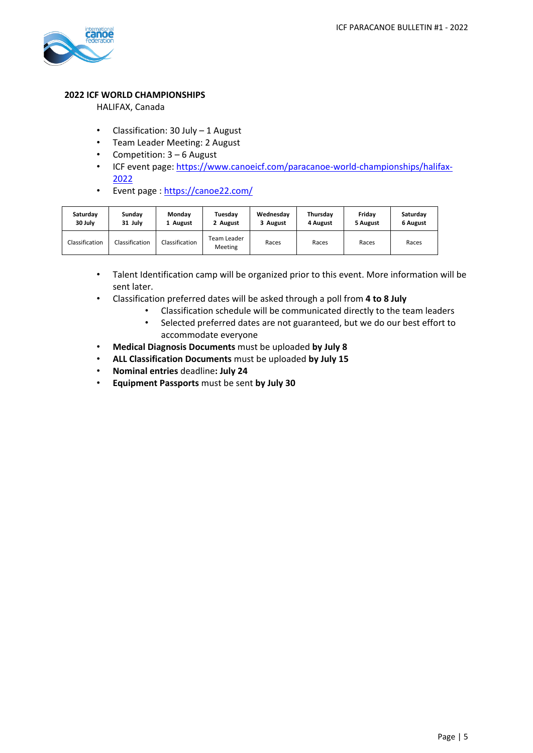

### **2022 ICF WORLD CHAMPIONSHIPS**

HALIFAX, Canada

- Classification: 30 July 1 August
- Team Leader Meeting: 2 August
- Competition: 3 6 August
- ICF event page: [https://www.canoeicf.com/paracanoe-world-championships/halifax-](https://www.canoeicf.com/paracanoe-world-championships/halifax-2022)[2022](https://www.canoeicf.com/paracanoe-world-championships/halifax-2022)
- Event page : <https://canoe22.com/>

| Saturday       | Sunday         | Monday         | Tuesdav                | Wednesday | Thursdav | Fridav   | Saturday |
|----------------|----------------|----------------|------------------------|-----------|----------|----------|----------|
| 30 July        | 31 July        | 1 August       | 2 August               | 3 August  | 4 August | 5 August | 6 August |
| Classification | Classification | Classification | Team Leader<br>Meeting | Races     | Races    | Races    | Races    |

- Talent Identification camp will be organized prior to this event. More information will be sent later.
- Classification preferred dates will be asked through a poll from **4 to 8 July**
	- Classification schedule will be communicated directly to the team leaders
	- Selected preferred dates are not guaranteed, but we do our best effort to accommodate everyone
- **Medical Diagnosis Documents** must be uploaded **by July 8**
- **ALL Classification Documents** must be uploaded **by July 15**
- **Nominal entries** deadline**: July 24**
- **Equipment Passports** must be sent **by July 30**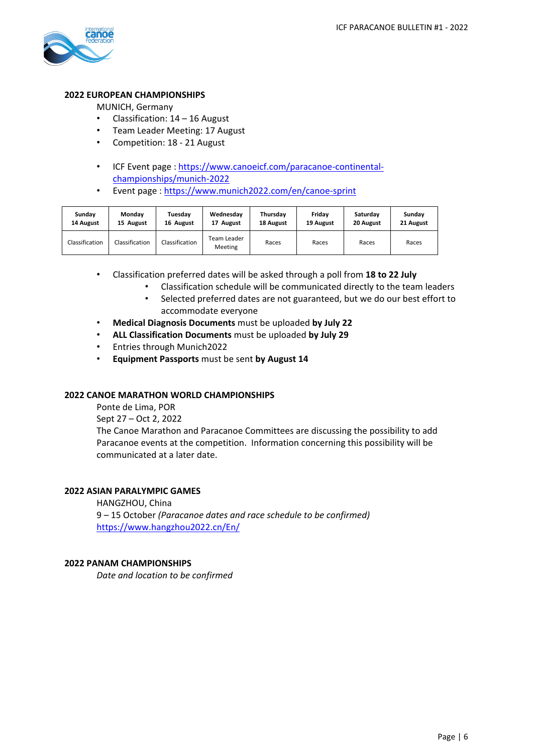

### **2022 EUROPEAN CHAMPIONSHIPS**

MUNICH, Germany

- Classification: 14 16 August
- Team Leader Meeting: 17 August
- Competition: 18 21 August
- ICF Event page : [https://www.canoeicf.com/paracanoe-continental](https://www.canoeicf.com/paracanoe-continental-championships/munich-2022)[championships/munich-2022](https://www.canoeicf.com/paracanoe-continental-championships/munich-2022)
- Event page : <https://www.munich2022.com/en/canoe-sprint>

| Sunday         | Monday         | Tuesday        | Wednesday              | Thursday  | Fridav    | Saturdav  | Sunday    |
|----------------|----------------|----------------|------------------------|-----------|-----------|-----------|-----------|
| 14 August      | 15 August      | 16 August      | 17 August              | 18 August | 19 August | 20 August | 21 August |
| Classification | Classification | Classification | Team Leader<br>Meeting | Races     | Races     | Races     | Races     |

- Classification preferred dates will be asked through a poll from **18 to 22 July**
	- Classification schedule will be communicated directly to the team leaders
	- Selected preferred dates are not guaranteed, but we do our best effort to accommodate everyone
- **Medical Diagnosis Documents** must be uploaded **by July 22**
- **ALL Classification Documents** must be uploaded **by July 29**
- Entries through Munich2022
- **Equipment Passports** must be sent **by August 14**

#### **2022 CANOE MARATHON WORLD CHAMPIONSHIPS**

Ponte de Lima, POR

Sept 27 – Oct 2, 2022

The Canoe Marathon and Paracanoe Committees are discussing the possibility to add Paracanoe events at the competition. Information concerning this possibility will be communicated at a later date.

#### **2022 ASIAN PARALYMPIC GAMES**

HANGZHOU, China 9 – 15 October *(Paracanoe dates and race schedule to be confirmed)* <https://www.hangzhou2022.cn/En/>

#### **2022 PANAM CHAMPIONSHIPS**

*Date and location to be confirmed*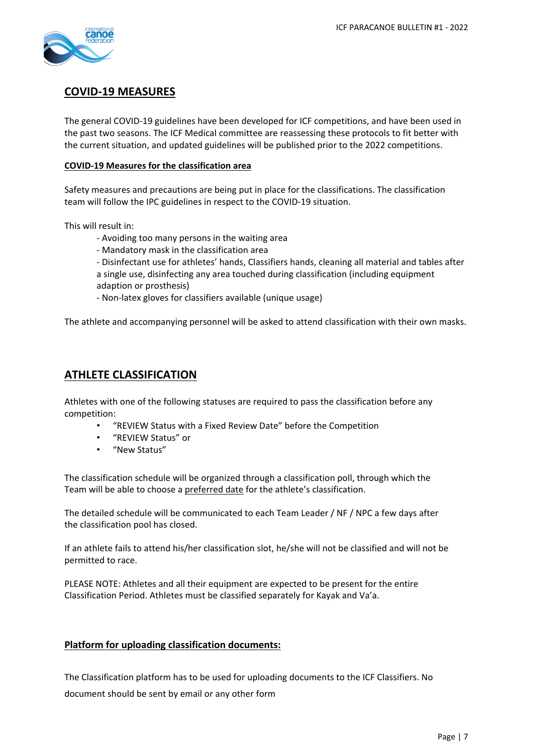

### **COVID-19 MEASURES**

The general COVID-19 guidelines have been developed for ICF competitions, and have been used in the past two seasons. The ICF Medical committee are reassessing these protocols to fit better with the current situation, and updated guidelines will be published prior to the 2022 competitions.

### **COVID-19 Measures for the classification area**

Safety measures and precautions are being put in place for the classifications. The classification team will follow the IPC guidelines in respect to the COVID-19 situation.

This will result in:

- Avoiding too many persons in the waiting area
- Mandatory mask in the classification area
- Disinfectant use for athletes' hands, Classifiers hands, cleaning all material and tables after
- a single use, disinfecting any area touched during classification (including equipment adaption or prosthesis)
- Non-latex gloves for classifiers available (unique usage)

The athlete and accompanying personnel will be asked to attend classification with their own masks.

### **ATHLETE CLASSIFICATION**

Athletes with one of the following statuses are required to pass the classification before any competition:

- "REVIEW Status with a Fixed Review Date" before the Competition
- "REVIEW Status" or
- "New Status"

The classification schedule will be organized through a classification poll, through which the Team will be able to choose a preferred date for the athlete's classification.

The detailed schedule will be communicated to each Team Leader / NF / NPC a few days after the classification pool has closed.

If an athlete fails to attend his/her classification slot, he/she will not be classified and will not be permitted to race.

PLEASE NOTE: Athletes and all their equipment are expected to be present for the entire Classification Period. Athletes must be classified separately for Kayak and Va'a.

### **Platform for uploading classification documents:**

The Classification platform has to be used for uploading documents to the ICF Classifiers. No document should be sent by email or any other form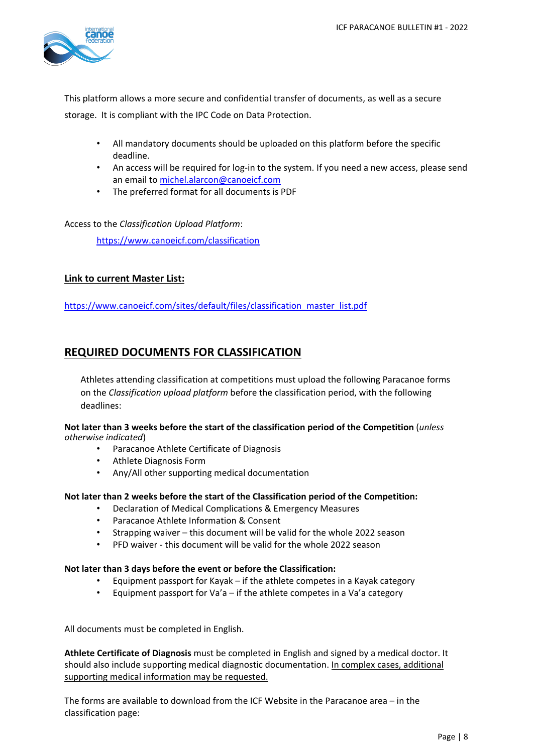

This platform allows a more secure and confidential transfer of documents, as well as a secure storage. It is compliant with the IPC Code on Data Protection.

- All mandatory documents should be uploaded on this platform before the specific deadline.
- An access will be required for log-in to the system. If you need a new access, please send an email t[o michel.alarcon@canoeicf.com](mailto:michel.alarcon@canoeicf.com)
- The preferred format for all documents is PDF

Access to the *Classification Upload Platform*:

<https://www.canoeicf.com/classification>

### **Link to current Master List:**

[https://www.canoeicf.com/sites/default/files/classification\\_master\\_list.pdf](https://www.canoeicf.com/sites/default/files/classification_master_list.pdf)

### **REQUIRED DOCUMENTS FOR CLASSIFICATION**

Athletes attending classification at competitions must upload the following Paracanoe forms on the *Classification upload platform* before the classification period, with the following deadlines:

#### **Not later than 3 weeks before the start of the classification period of the Competition** (*unless otherwise indicated*)

- Paracanoe Athlete Certificate of Diagnosis
- Athlete Diagnosis Form
- Any/All other supporting medical documentation

#### **Not later than 2 weeks before the start of the Classification period of the Competition:**

- Declaration of Medical Complications & Emergency Measures
- Paracanoe Athlete Information & Consent
- Strapping waiver this document will be valid for the whole 2022 season
- PFD waiver this document will be valid for the whole 2022 season

#### **Not later than 3 days before the event or before the Classification:**

- Equipment passport for Kayak if the athlete competes in a Kayak category
- Equipment passport for Va'a  $-$  if the athlete competes in a Va'a category

All documents must be completed in English.

**Athlete Certificate of Diagnosis** must be completed in English and signed by a medical doctor. It should also include supporting medical diagnostic documentation. In complex cases, additional supporting medical information may be requested.

The forms are available to download from the ICF Website in the Paracanoe area – in the classification page: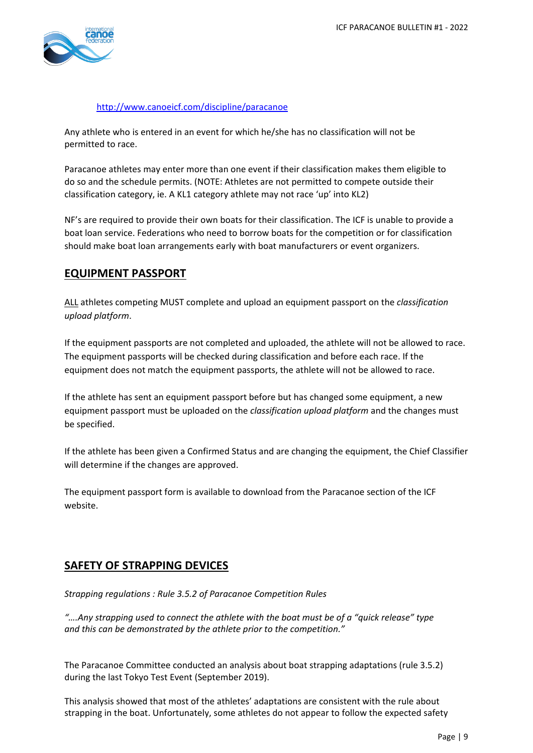

### <http://www.canoeicf.com/discipline/paracanoe>

Any athlete who is entered in an event for which he/she has no classification will not be permitted to race.

Paracanoe athletes may enter more than one event if their classification makes them eligible to do so and the schedule permits. (NOTE: Athletes are not permitted to compete outside their classification category, ie. A KL1 category athlete may not race 'up' into KL2)

NF's are required to provide their own boats for their classification. The ICF is unable to provide a boat loan service. Federations who need to borrow boats for the competition or for classification should make boat loan arrangements early with boat manufacturers or event organizers.

### **EQUIPMENT PASSPORT**

ALL athletes competing MUST complete and upload an equipment passport on the *classification upload platform*.

If the equipment passports are not completed and uploaded, the athlete will not be allowed to race. The equipment passports will be checked during classification and before each race. If the equipment does not match the equipment passports, the athlete will not be allowed to race.

If the athlete has sent an equipment passport before but has changed some equipment, a new equipment passport must be uploaded on the *classification upload platform* and the changes must be specified.

If the athlete has been given a Confirmed Status and are changing the equipment, the Chief Classifier will determine if the changes are approved.

The equipment passport form is available to download from the Paracanoe section of the ICF website.

### **SAFETY OF STRAPPING DEVICES**

*Strapping regulations : Rule 3.5.2 of Paracanoe Competition Rules*

*"….Any strapping used to connect the athlete with the boat must be of a "quick release" type and this can be demonstrated by the athlete prior to the competition."*

The Paracanoe Committee conducted an analysis about boat strapping adaptations (rule 3.5.2) during the last Tokyo Test Event (September 2019).

This analysis showed that most of the athletes' adaptations are consistent with the rule about strapping in the boat. Unfortunately, some athletes do not appear to follow the expected safety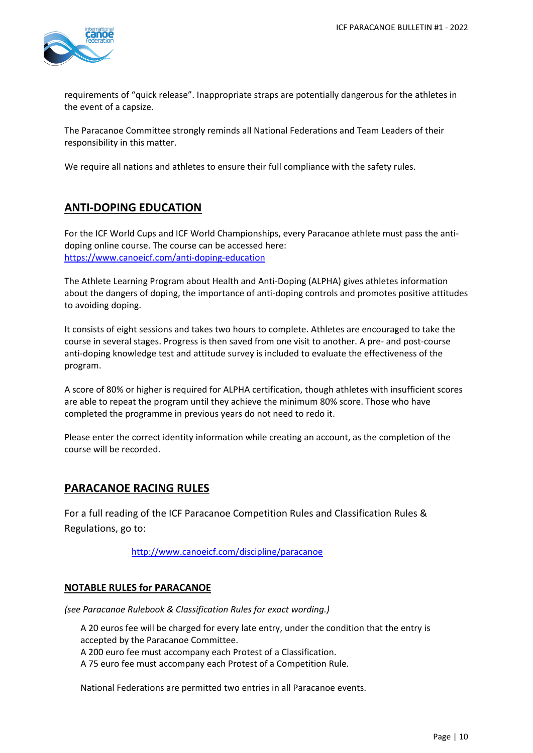

requirements of "quick release". Inappropriate straps are potentially dangerous for the athletes in the event of a capsize.

The Paracanoe Committee strongly reminds all National Federations and Team Leaders of their responsibility in this matter.

We require all nations and athletes to ensure their full compliance with the safety rules.

### **ANTI-DOPING EDUCATION**

For the ICF World Cups and ICF World Championships, every Paracanoe athlete must pass the antidoping online course. The course can be accessed here: <https://www.canoeicf.com/anti-doping-education>

The Athlete Learning Program about Health and Anti-Doping (ALPHA) gives athletes information about the dangers of doping, the importance of anti-doping controls and promotes positive attitudes to avoiding doping.

It consists of eight sessions and takes two hours to complete. Athletes are encouraged to take the course in several stages. Progress is then saved from one visit to another. A pre- and post-course anti-doping knowledge test and attitude survey is included to evaluate the effectiveness of the program.

A score of 80% or higher is required for ALPHA certification, though athletes with insufficient scores are able to repeat the program until they achieve the minimum 80% score. Those who have completed the programme in previous years do not need to redo it.

Please enter the correct identity information while creating an account, as the completion of the course will be recorded.

### **PARACANOE RACING RULES**

For a full reading of the ICF Paracanoe Competition Rules and Classification Rules & Regulations, go to:

<http://www.canoeicf.com/discipline/paracanoe>

### **NOTABLE RULES for PARACANOE**

*(see Paracanoe Rulebook & Classification Rules for exact wording.)*

A 20 euros fee will be charged for every late entry, under the condition that the entry is accepted by the Paracanoe Committee. A 200 euro fee must accompany each Protest of a Classification.

A 75 euro fee must accompany each Protest of a Competition Rule.

National Federations are permitted two entries in all Paracanoe events.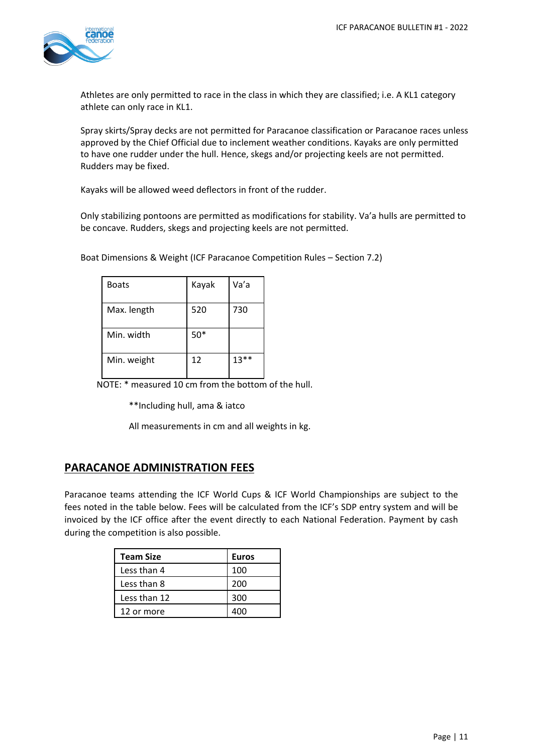

Athletes are only permitted to race in the class in which they are classified; i.e. A KL1 category athlete can only race in KL1.

Spray skirts/Spray decks are not permitted for Paracanoe classification or Paracanoe races unless approved by the Chief Official due to inclement weather conditions. Kayaks are only permitted to have one rudder under the hull. Hence, skegs and/or projecting keels are not permitted. Rudders may be fixed.

Kayaks will be allowed weed deflectors in front of the rudder.

Only stabilizing pontoons are permitted as modifications for stability. Va'a hulls are permitted to be concave. Rudders, skegs and projecting keels are not permitted.

| <b>Boats</b> | Kayak | Va'a    |
|--------------|-------|---------|
| Max. length  | 520   | 730     |
| Min. width   | $50*$ |         |
| Min. weight  | 12    | $13***$ |

Boat Dimensions & Weight (ICF Paracanoe Competition Rules – Section 7.2)

NOTE: \* measured 10 cm from the bottom of the hull.

\*\*Including hull, ama & iatco

All measurements in cm and all weights in kg.

### **PARACANOE ADMINISTRATION FEES**

Paracanoe teams attending the ICF World Cups & ICF World Championships are subject to the fees noted in the table below. Fees will be calculated from the ICF's SDP entry system and will be invoiced by the ICF office after the event directly to each National Federation. Payment by cash during the competition is also possible.

| Team Size    | <b>Euros</b> |
|--------------|--------------|
| Less than 4  | 100          |
| Less than 8  | 200          |
| Less than 12 | 300          |
| 12 or more   |              |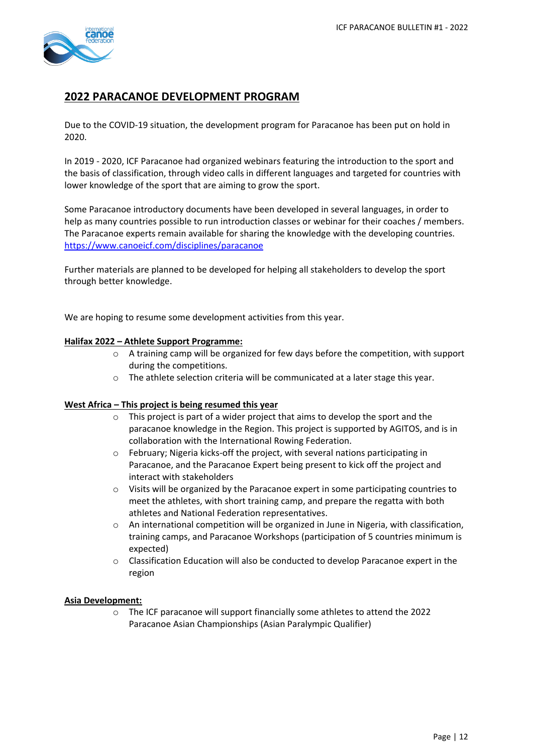

### **2022 PARACANOE DEVELOPMENT PROGRAM**

Due to the COVID-19 situation, the development program for Paracanoe has been put on hold in 2020.

In 2019 - 2020, ICF Paracanoe had organized webinars featuring the introduction to the sport and the basis of classification, through video calls in different languages and targeted for countries with lower knowledge of the sport that are aiming to grow the sport.

Some Paracanoe introductory documents have been developed in several languages, in order to help as many countries possible to run introduction classes or webinar for their coaches / members. The Paracanoe experts remain available for sharing the knowledge with the developing countries. <https://www.canoeicf.com/disciplines/paracanoe>

Further materials are planned to be developed for helping all stakeholders to develop the sport through better knowledge.

We are hoping to resume some development activities from this year.

### **Halifax 2022 – Athlete Support Programme:**

- $\circ$  A training camp will be organized for few days before the competition, with support during the competitions.
- o The athlete selection criteria will be communicated at a later stage this year.

#### **West Africa – This project is being resumed this year**

- o This project is part of a wider project that aims to develop the sport and the paracanoe knowledge in the Region. This project is supported by AGITOS, and is in collaboration with the International Rowing Federation.
- o February; Nigeria kicks-off the project, with several nations participating in Paracanoe, and the Paracanoe Expert being present to kick off the project and interact with stakeholders
- $\circ$  Visits will be organized by the Paracanoe expert in some participating countries to meet the athletes, with short training camp, and prepare the regatta with both athletes and National Federation representatives.
- o An international competition will be organized in June in Nigeria, with classification, training camps, and Paracanoe Workshops (participation of 5 countries minimum is expected)
- o Classification Education will also be conducted to develop Paracanoe expert in the region

#### **Asia Development:**

o The ICF paracanoe will support financially some athletes to attend the 2022 Paracanoe Asian Championships (Asian Paralympic Qualifier)